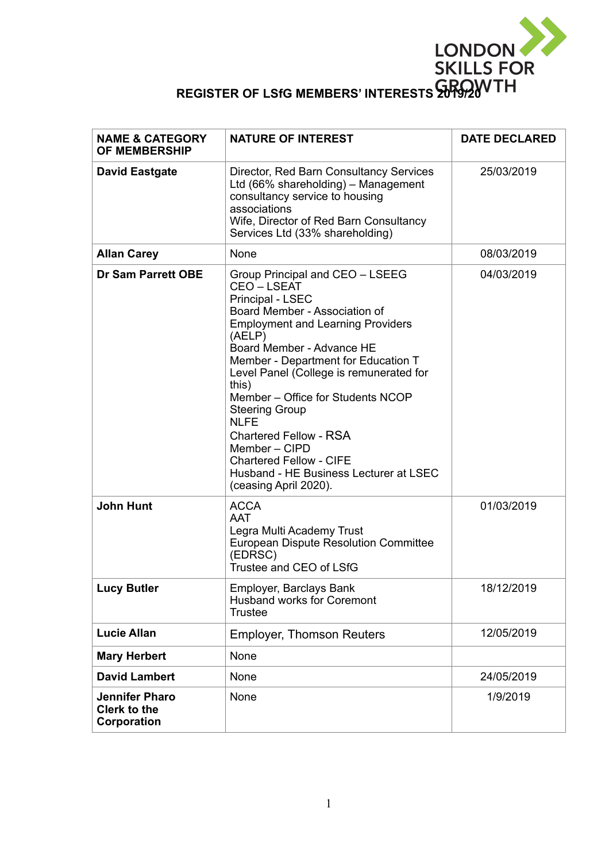

| <b>NAME &amp; CATEGORY</b><br><b>OF MEMBERSHIP</b>          | <b>NATURE OF INTEREST</b>                                                                                                                                                                                                                                                                                                                                                                                                                                                                                           | <b>DATE DECLARED</b> |
|-------------------------------------------------------------|---------------------------------------------------------------------------------------------------------------------------------------------------------------------------------------------------------------------------------------------------------------------------------------------------------------------------------------------------------------------------------------------------------------------------------------------------------------------------------------------------------------------|----------------------|
| <b>David Eastgate</b>                                       | Director, Red Barn Consultancy Services<br>Ltd (66% shareholding) - Management<br>consultancy service to housing<br>associations<br>Wife, Director of Red Barn Consultancy<br>Services Ltd (33% shareholding)                                                                                                                                                                                                                                                                                                       | 25/03/2019           |
| <b>Allan Carey</b>                                          | None                                                                                                                                                                                                                                                                                                                                                                                                                                                                                                                | 08/03/2019           |
| <b>Dr Sam Parrett OBE</b>                                   | Group Principal and CEO - LSEEG<br>CEO-LSEAT<br>Principal - LSEC<br>Board Member - Association of<br><b>Employment and Learning Providers</b><br>(AELP)<br>Board Member - Advance HE<br>Member - Department for Education T<br>Level Panel (College is remunerated for<br>this)<br>Member - Office for Students NCOP<br><b>Steering Group</b><br><b>NLFE</b><br><b>Chartered Fellow - RSA</b><br>Member - CIPD<br><b>Chartered Fellow - CIFE</b><br>Husband - HE Business Lecturer at LSEC<br>(ceasing April 2020). | 04/03/2019           |
| <b>John Hunt</b>                                            | <b>ACCA</b><br><b>AAT</b><br>Legra Multi Academy Trust<br>European Dispute Resolution Committee<br>(EDRSC)<br>Trustee and CEO of LSfG                                                                                                                                                                                                                                                                                                                                                                               | 01/03/2019           |
| <b>Lucy Butler</b>                                          | Employer, Barclays Bank<br><b>Husband works for Coremont</b><br><b>Trustee</b>                                                                                                                                                                                                                                                                                                                                                                                                                                      | 18/12/2019           |
| <b>Lucie Allan</b>                                          | <b>Employer, Thomson Reuters</b>                                                                                                                                                                                                                                                                                                                                                                                                                                                                                    | 12/05/2019           |
| <b>Mary Herbert</b>                                         | None                                                                                                                                                                                                                                                                                                                                                                                                                                                                                                                |                      |
| <b>David Lambert</b>                                        | None                                                                                                                                                                                                                                                                                                                                                                                                                                                                                                                | 24/05/2019           |
| <b>Jennifer Pharo</b><br><b>Clerk to the</b><br>Corporation | None                                                                                                                                                                                                                                                                                                                                                                                                                                                                                                                | 1/9/2019             |